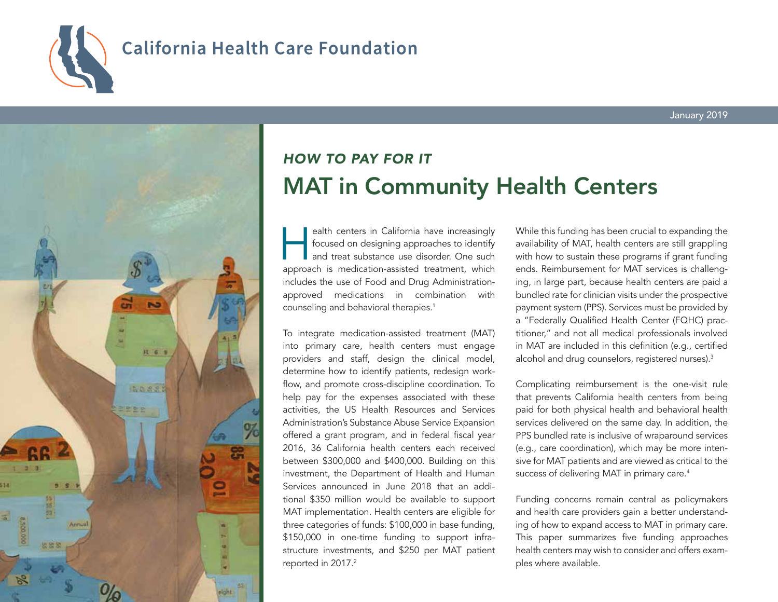

# **California Health Care Foundation**



# *HOW TO PAY FOR IT* MAT in Community Health Centers

ealth centers in California have increasingly<br>focused on designing approaches to identify<br>and treat substance use disorder. One such<br>approach is medication-assisted treatment which focused on designing approaches to identify and treat substance use disorder. One such approach is medication-assisted treatment, which includes the use of Food and Drug Administrationapproved medications in combination with counseling and behavioral therapies.1

To integrate medication-assisted treatment (MAT) into primary care, health centers must engage providers and staff, design the clinical model, determine how to identify patients, redesign workflow, and promote cross-discipline coordination. To help pay for the expenses associated with these activities, the US Health Resources and Services Administration's Substance Abuse Service Expansion offered a grant program, and in federal fiscal year 2016, 36 California health centers each received between \$300,000 and \$400,000. Building on this investment, the Department of Health and Human Services announced in June 2018 that an additional \$350 million would be available to support MAT implementation. Health centers are eligible for three categories of funds: \$100,000 in base funding, \$150,000 in one-time funding to support infrastructure investments, and \$250 per MAT patient reported in 2017.<sup>2</sup>

While this funding has been crucial to expanding the availability of MAT, health centers are still grappling with how to sustain these programs if grant funding ends. Reimbursement for MAT services is challenging, in large part, because health centers are paid a bundled rate for clinician visits under the prospective payment system (PPS). Services must be provided by a "Federally Qualified Health Center (FQHC) practitioner," and not all medical professionals involved in MAT are included in this definition (e.g., certified alcohol and drug counselors, registered nurses).<sup>3</sup>

Complicating reimbursement is the one-visit rule that prevents California health centers from being paid for both physical health and behavioral health services delivered on the same day. In addition, the PPS bundled rate is inclusive of wraparound services (e.g., care coordination), which may be more intensive for MAT patients and are viewed as critical to the success of delivering MAT in primary care.<sup>4</sup>

Funding concerns remain central as policymakers and health care providers gain a better understanding of how to expand access to MAT in primary care. This paper summarizes five funding approaches health centers may wish to consider and offers examples where available.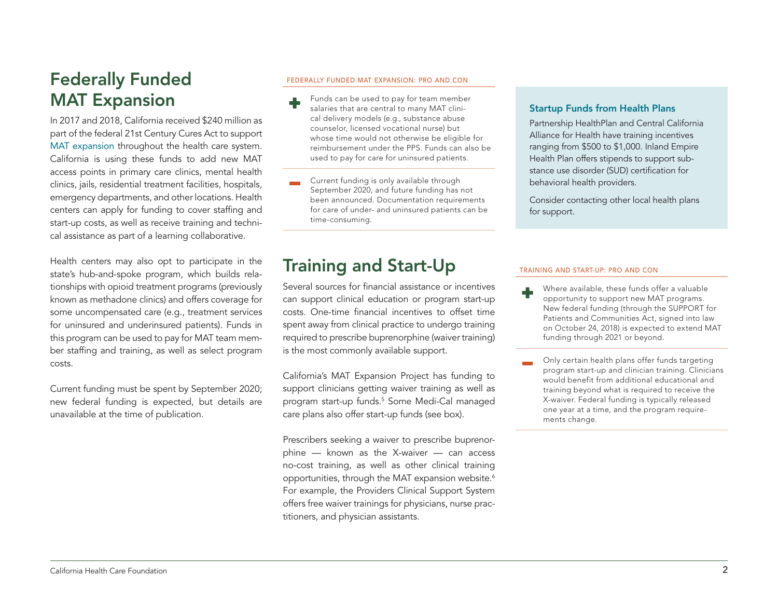## Federally Funded MAT Expansion

In 2017 and 2018, California received \$240 million as part of the federal 21st Century Cures Act to support [MAT expansion](https://www.dhcs.ca.gov/individuals/Pages/State-Targeted-Response-to-Opioid-Crisis-Grant.aspx) throughout the health care system. California is using these funds to add new MAT access points in primary care clinics, mental health clinics, jails, residential treatment facilities, hospitals, emergency departments, and other locations. Health centers can apply for funding to cover staffing and start-up costs, as well as receive training and technical assistance as part of a learning collaborative.

Health centers may also opt to participate in the state's hub-and-spoke program, which builds relationships with opioid treatment programs (previously known as methadone clinics) and offers coverage for some uncompensated care (e.g., treatment services for uninsured and underinsured patients). Funds in this program can be used to pay for MAT team member staffing and training, as well as select program costs.

Current funding must be spent by September 2020; new federal funding is expected, but details are unavailable at the time of publication.

#### FEDERALLY FUNDED MAT EXPANSION: PRO AND CON

- Funds can be used to pay for team member salaries that are central to many MAT clinical delivery models (e.g., substance abuse counselor, licensed vocational nurse) but whose time would not otherwise be eligible for reimbursement under the PPS. Funds can also be used to pay for care for uninsured patients.
- Current funding is only available through September 2020, and future funding has not been announced. Documentation requirements for care of under- and uninsured patients can be time-consuming.

### Training and Start-Up

Several sources for financial assistance or incentives can support clinical education or program start-up costs. One-time financial incentives to offset time spent away from clinical practice to undergo training required to prescribe buprenorphine (waiver training) is the most commonly available support.

California's MAT Expansion Project has funding to support clinicians getting waiver training as well as program start-up funds.5 Some Medi-Cal managed care plans also offer start-up funds (see box).

Prescribers seeking a waiver to prescribe buprenorphine — known as the X-waiver — can access no-cost training, as well as other clinical training opportunities, through the MAT expansion website.<sup>6</sup> For example, the Providers Clinical Support System offers free waiver trainings for physicians, nurse practitioners, and physician assistants.

### Startup Funds from Health Plans

Partnership HealthPlan and Central California Alliance for Health have training incentives ranging from \$500 to \$1,000. Inland Empire Health Plan offers stipends to support substance use disorder (SUD) certification for behavioral health providers.

Consider contacting other local health plans for support.

#### TRAINING AND START-UP: PRO AND CON

- Where available, these funds offer a valuable opportunity to support new MAT programs. New federal funding (through the SUPPORT for Patients and Communities Act, signed into law on October 24, 2018) is expected to extend MAT funding through 2021 or beyond.
- Only certain health plans offer funds targeting program start-up and clinician training. Clinicians would benefit from additional educational and training beyond what is required to receive the X-waiver. Federal funding is typically released one year at a time, and the program requirements change.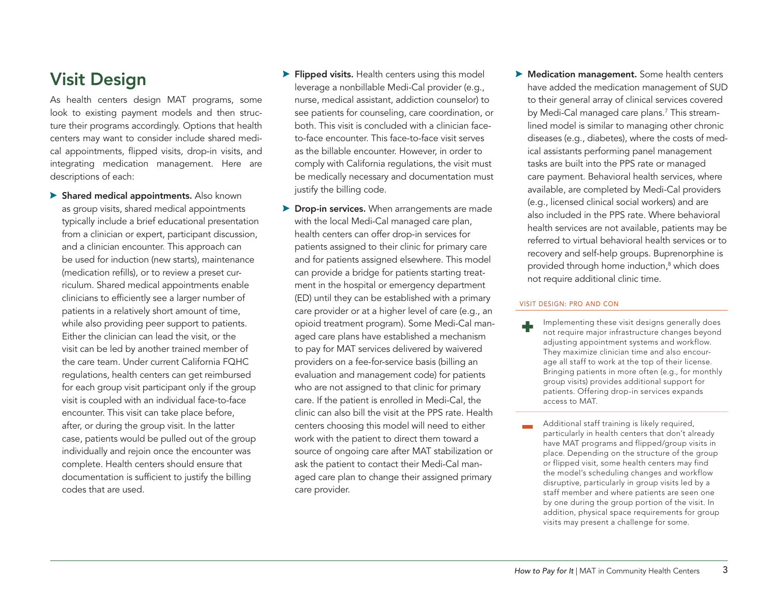## Visit Design

As health centers design MAT programs, some look to existing payment models and then structure their programs accordingly. Options that health centers may want to consider include shared medical appointments, flipped visits, drop-in visits, and integrating medication management. Here are descriptions of each:

- A Shared medical appointments. Also known as group visits, shared medical appointments typically include a brief educational presentation from a clinician or expert, participant discussion, and a clinician encounter. This approach can be used for induction (new starts), maintenance (medication refills), or to review a preset curriculum. Shared medical appointments enable clinicians to efficiently see a larger number of patients in a relatively short amount of time, while also providing peer support to patients. Either the clinician can lead the visit, or the visit can be led by another trained member of the care team. Under current California FQHC regulations, health centers can get reimbursed for each group visit participant only if the group visit is coupled with an individual face-to-face encounter. This visit can take place before, after, or during the group visit. In the latter case, patients would be pulled out of the group individually and rejoin once the encounter was complete. Health centers should ensure that documentation is sufficient to justify the billing codes that are used.
- $\blacktriangleright$  Flipped visits. Health centers using this model leverage a nonbillable Medi-Cal provider (e.g., nurse, medical assistant, addiction counselor) to see patients for counseling, care coordination, or both. This visit is concluded with a clinician faceto-face encounter. This face-to-face visit serves as the billable encounter. However, in order to comply with California regulations, the visit must be medically necessary and documentation must justify the billing code.
- **Drop-in services.** When arrangements are made with the local Medi-Cal managed care plan, health centers can offer drop-in services for patients assigned to their clinic for primary care and for patients assigned elsewhere. This model can provide a bridge for patients starting treatment in the hospital or emergency department (ED) until they can be established with a primary care provider or at a higher level of care (e.g., an opioid treatment program). Some Medi-Cal managed care plans have established a mechanism to pay for MAT services delivered by waivered providers on a fee-for-service basis (billing an evaluation and management code) for patients who are not assigned to that clinic for primary care. If the patient is enrolled in Medi-Cal, the clinic can also bill the visit at the PPS rate. Health centers choosing this model will need to either work with the patient to direct them toward a source of ongoing care after MAT stabilization or ask the patient to contact their Medi-Cal managed care plan to change their assigned primary care provider.
- **A Medication management.** Some health centers have added the medication management of SUD to their general array of clinical services covered by Medi-Cal managed care plans.<sup>7</sup> This streamlined model is similar to managing other chronic diseases (e.g., diabetes), where the costs of medical assistants performing panel management tasks are built into the PPS rate or managed care payment. Behavioral health services, where available, are completed by Medi-Cal providers (e.g., licensed clinical social workers) and are also included in the PPS rate. Where behavioral health services are not available, patients may be referred to virtual behavioral health services or to recovery and self-help groups. Buprenorphine is provided through home induction,<sup>8</sup> which does not require additional clinic time.

#### VISIT DESIGN: PRO AND CON

- Implementing these visit designs generally does not require major infrastructure changes beyond adjusting appointment systems and workflow. They maximize clinician time and also encourage all staff to work at the top of their license. Bringing patients in more often (e.g., for monthly group visits) provides additional support for patients. Offering drop-in services expands access to MAT.
- Additional staff training is likely required, particularly in health centers that don't already have MAT programs and flipped/group visits in place. Depending on the structure of the group or flipped visit, some health centers may find the model's scheduling changes and workflow disruptive, particularly in group visits led by a staff member and where patients are seen one by one during the group portion of the visit. In addition, physical space requirements for group visits may present a challenge for some.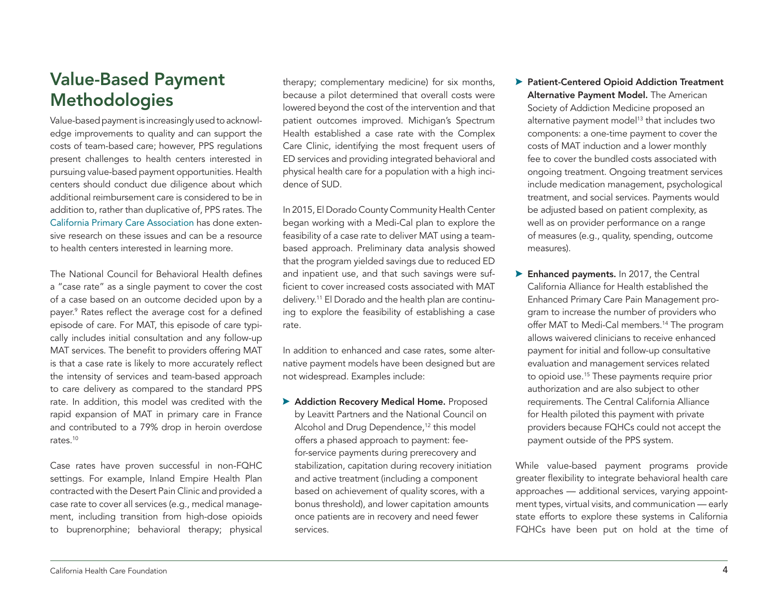## Value-Based Payment **Methodologies**

Value-based payment is increasingly used to acknowledge improvements to quality and can support the costs of team-based care; however, PPS regulations present challenges to health centers interested in pursuing value-based payment opportunities. Health centers should conduct due diligence about which additional reimbursement care is considered to be in addition to, rather than duplicative of, PPS rates. The [California Primary Care Association](https://www.cpca.org/cpca/) has done extensive research on these issues and can be a resource to health centers interested in learning more.

The National Council for Behavioral Health defines a "case rate" as a single payment to cover the cost of a case based on an outcome decided upon by a payer.9 Rates reflect the average cost for a defined episode of care. For MAT, this episode of care typically includes initial consultation and any follow-up MAT services. The benefit to providers offering MAT is that a case rate is likely to more accurately reflect the intensity of services and team-based approach to care delivery as compared to the standard PPS rate. In addition, this model was credited with the rapid expansion of MAT in primary care in France and contributed to a 79% drop in heroin overdose rates<sup>10</sup>

Case rates have proven successful in non-FQHC settings. For example, Inland Empire Health Plan contracted with the Desert Pain Clinic and provided a case rate to cover all services (e.g., medical management, including transition from high-dose opioids to buprenorphine; behavioral therapy; physical

therapy; complementary medicine) for six months, because a pilot determined that overall costs were lowered beyond the cost of the intervention and that patient outcomes improved. Michigan's Spectrum Health established a case rate with the Complex Care Clinic, identifying the most frequent users of ED services and providing integrated behavioral and physical health care for a population with a high incidence of SUD.

In 2015, El Dorado County Community Health Center began working with a Medi-Cal plan to explore the feasibility of a case rate to deliver MAT using a teambased approach. Preliminary data analysis showed that the program yielded savings due to reduced ED and inpatient use, and that such savings were sufficient to cover increased costs associated with MAT delivery.11 El Dorado and the health plan are continuing to explore the feasibility of establishing a case rate.

In addition to enhanced and case rates, some alternative payment models have been designed but are not widespread. Examples include:

Addiction Recovery Medical Home. Proposed by Leavitt Partners and the National Council on Alcohol and Drug Dependence,<sup>12</sup> this model offers a phased approach to payment: feefor-service payments during prerecovery and stabilization, capitation during recovery initiation and active treatment (including a component based on achievement of quality scores, with a bonus threshold), and lower capitation amounts once patients are in recovery and need fewer services.

- ▶ Patient-Centered Opioid Addiction Treatment Alternative Payment Model. The American Society of Addiction Medicine proposed an alternative payment model<sup>13</sup> that includes two components: a one-time payment to cover the costs of MAT induction and a lower monthly fee to cover the bundled costs associated with ongoing treatment. Ongoing treatment services include medication management, psychological treatment, and social services. Payments would be adjusted based on patient complexity, as well as on provider performance on a range of measures (e.g., quality, spending, outcome measures).
- **Enhanced payments.** In 2017, the Central California Alliance for Health established the Enhanced Primary Care Pain Management program to increase the number of providers who offer MAT to Medi-Cal members.<sup>14</sup> The program allows waivered clinicians to receive enhanced payment for initial and follow-up consultative evaluation and management services related to opioid use.15 These payments require prior authorization and are also subject to other requirements. The Central California Alliance for Health piloted this payment with private providers because FQHCs could not accept the payment outside of the PPS system.

While value-based payment programs provide greater flexibility to integrate behavioral health care approaches — additional services, varying appointment types, virtual visits, and communication — early state efforts to explore these systems in California FQHCs have been put on hold at the time of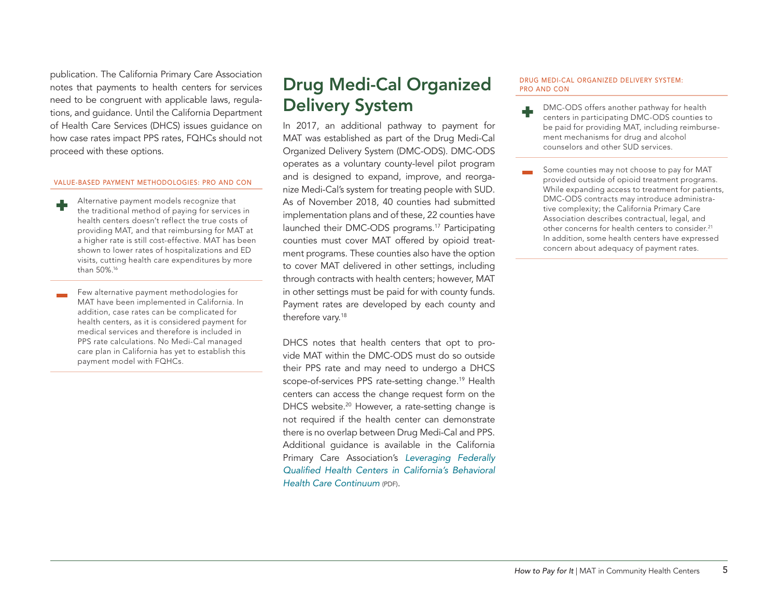publication. The California Primary Care Association notes that payments to health centers for services need to be congruent with applicable laws, regulations, and guidance. Until the California Department of Health Care Services (DHCS) issues guidance on how case rates impact PPS rates, FQHCs should not proceed with these options.

#### VALUE-BASED PAYMENT METHODOLOGIES: PRO AND CON

- Alternative payment models recognize that the traditional method of paying for services in health centers doesn't reflect the true costs of providing MAT, and that reimbursing for MAT at a higher rate is still cost-effective. MAT has been shown to lower rates of hospitalizations and ED visits, cutting health care expenditures by more than 50%.16
- Few alternative payment methodologies for MAT have been implemented in California. In addition, case rates can be complicated for health centers, as it is considered payment for medical services and therefore is included in PPS rate calculations. No Medi-Cal managed care plan in California has yet to establish this payment model with FQHCs.

## Drug Medi-Cal Organized Delivery System

In 2017, an additional pathway to payment for MAT was established as part of the Drug Medi-Cal Organized Delivery System (DMC-ODS). DMC-ODS operates as a voluntary county-level pilot program and is designed to expand, improve, and reorganize Medi-Cal's system for treating people with SUD. As of November 2018, 40 counties had submitted implementation plans and of these, 22 counties have launched their DMC-ODS programs.<sup>17</sup> Participating counties must cover MAT offered by opioid treatment programs. These counties also have the option to cover MAT delivered in other settings, including through contracts with health centers; however, MAT in other settings must be paid for with county funds. Payment rates are developed by each county and therefore vary.<sup>18</sup>

DHCS notes that health centers that opt to provide MAT within the DMC-ODS must do so outside their PPS rate and may need to undergo a DHCS scope-of-services PPS rate-setting change.<sup>19</sup> Health centers can access the change request form on the DHCS website.<sup>20</sup> However, a rate-setting change is not required if the health center can demonstrate there is no overlap between Drug Medi-Cal and PPS. Additional guidance is available in the California Primary Care Association's *[Leveraging Federally](http://hcpsocal.org/wp-content/uploads/2018/05/Leveraging-FQHCs-in-CA-BH-Care-Continuum.pdf)  [Qualified Health Centers in California's Behavioral](http://hcpsocal.org/wp-content/uploads/2018/05/Leveraging-FQHCs-in-CA-BH-Care-Continuum.pdf) [Health Care Continuum](http://hcpsocal.org/wp-content/uploads/2018/05/Leveraging-FQHCs-in-CA-BH-Care-Continuum.pdf)* (PDF).

#### DRUG MEDI-CAL ORGANIZED DELIVERY SYSTEM: PRO AND CON

- DMC-ODS offers another pathway for health centers in participating DMC-ODS counties to be paid for providing MAT, including reimbursement mechanisms for drug and alcohol counselors and other SUD services.
- Some counties may not choose to pay for MAT provided outside of opioid treatment programs. While expanding access to treatment for patients, DMC-ODS contracts may introduce administrative complexity; the California Primary Care Association describes contractual, legal, and other concerns for health centers to consider.<sup>21</sup> In addition, some health centers have expressed concern about adequacy of payment rates.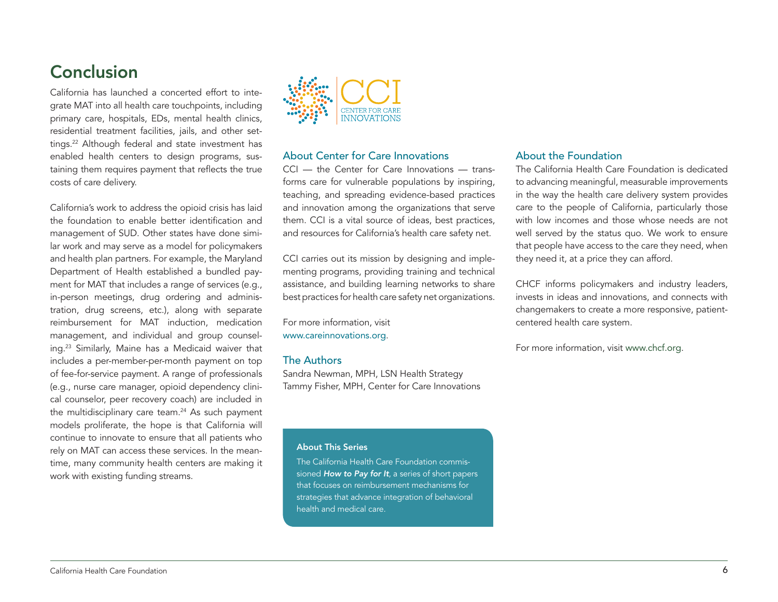## **Conclusion**

California has launched a concerted effort to integrate MAT into all health care touchpoints, including primary care, hospitals, EDs, mental health clinics, residential treatment facilities, jails, and other settings.<sup>22</sup> Although federal and state investment has enabled health centers to design programs, sustaining them requires payment that reflects the true costs of care delivery.

California's work to address the opioid crisis has laid the foundation to enable better identification and management of SUD. Other states have done similar work and may serve as a model for policymakers and health plan partners. For example, the Maryland Department of Health established a bundled payment for MAT that includes a range of services (e.g., in-person meetings, drug ordering and administration, drug screens, etc.), along with separate reimbursement for MAT induction, medication management, and individual and group counseling.23 Similarly, Maine has a Medicaid waiver that includes a per-member-per-month payment on top of fee-for-service payment. A range of professionals (e.g., nurse care manager, opioid dependency clinical counselor, peer recovery coach) are included in the multidisciplinary care team.<sup>24</sup> As such payment models proliferate, the hope is that California will continue to innovate to ensure that all patients who rely on MAT can access these services. In the meantime, many community health centers are making it work with existing funding streams.



### About Center for Care Innovations

CCI — the Center for Care Innovations — transforms care for vulnerable populations by inspiring, teaching, and spreading evidence-based practices and innovation among the organizations that serve them. CCI is a vital source of ideas, best practices, and resources for California's health care safety net.

CCI carries out its mission by designing and implementing programs, providing training and technical assistance, and building learning networks to share best practices for health care safety net organizations.

For more information, visit [www.careinnovations.org](https://www.careinnovations.org).

### The Authors

Sandra Newman, MPH, LSN Health Strategy Tammy Fisher, MPH, Center for Care Innovations

#### About This Series

The California Health Care Foundation commissioned *[How to Pay for It](https://www.chcf.org/collection/how-to-pay-for-it)*, a series of short papers that focuses on reimbursement mechanisms for strategies that advance integration of behavioral health and medical care.

### About the Foundation

The California Health Care Foundation is dedicated to advancing meaningful, measurable improvements in the way the health care delivery system provides care to the people of California, particularly those with low incomes and those whose needs are not well served by the status quo. We work to ensure that people have access to the care they need, when they need it, at a price they can afford.

CHCF informs policymakers and industry leaders, invests in ideas and innovations, and connects with changemakers to create a more responsive, patientcentered health care system.

For more information, visit [www.chcf.org](http://www.chcf.org).